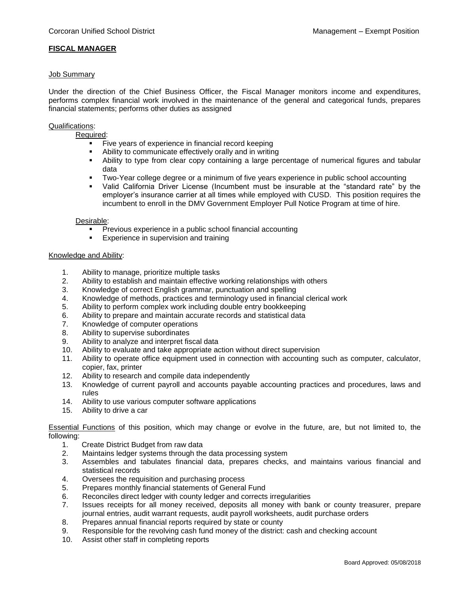# **FISCAL MANAGER**

### Job Summary

Under the direction of the Chief Business Officer, the Fiscal Manager monitors income and expenditures, performs complex financial work involved in the maintenance of the general and categorical funds, prepares financial statements; performs other duties as assigned

## Qualifications:

Required:

- Five years of experience in financial record keeping
- Ability to communicate effectively orally and in writing
- Ability to type from clear copy containing a large percentage of numerical figures and tabular data
- Two-Year college degree or a minimum of five years experience in public school accounting
- Valid California Driver License (Incumbent must be insurable at the "standard rate" by the employer's insurance carrier at all times while employed with CUSD. This position requires the incumbent to enroll in the DMV Government Employer Pull Notice Program at time of hire.

#### Desirable:

- **Previous experience in a public school financial accounting**
- **Experience in supervision and training**

## Knowledge and Ability:

- 1. Ability to manage, prioritize multiple tasks
- 2. Ability to establish and maintain effective working relationships with others
- 3. Knowledge of correct English grammar, punctuation and spelling
- 4. Knowledge of methods, practices and terminology used in financial clerical work
- 5. Ability to perform complex work including double entry bookkeeping
- 6. Ability to prepare and maintain accurate records and statistical data
- 7. Knowledge of computer operations
- 8. Ability to supervise subordinates
- 9. Ability to analyze and interpret fiscal data
- 10. Ability to evaluate and take appropriate action without direct supervision
- 11. Ability to operate office equipment used in connection with accounting such as computer, calculator, copier, fax, printer
- 12. Ability to research and compile data independently
- 13. Knowledge of current payroll and accounts payable accounting practices and procedures, laws and rules
- 14. Ability to use various computer software applications
- 15. Ability to drive a car

Essential Functions of this position, which may change or evolve in the future, are, but not limited to, the following:

- 1. Create District Budget from raw data
- 2. Maintains ledger systems through the data processing system
- 3. Assembles and tabulates financial data, prepares checks, and maintains various financial and statistical records
- 4. Oversees the requisition and purchasing process
- 5. Prepares monthly financial statements of General Fund
- 6. Reconciles direct ledger with county ledger and corrects irregularities
- 7. Issues receipts for all money received, deposits all money with bank or county treasurer, prepare journal entries, audit warrant requests, audit payroll worksheets, audit purchase orders
- 8. Prepares annual financial reports required by state or county
- 9. Responsible for the revolving cash fund money of the district: cash and checking account
- 10. Assist other staff in completing reports